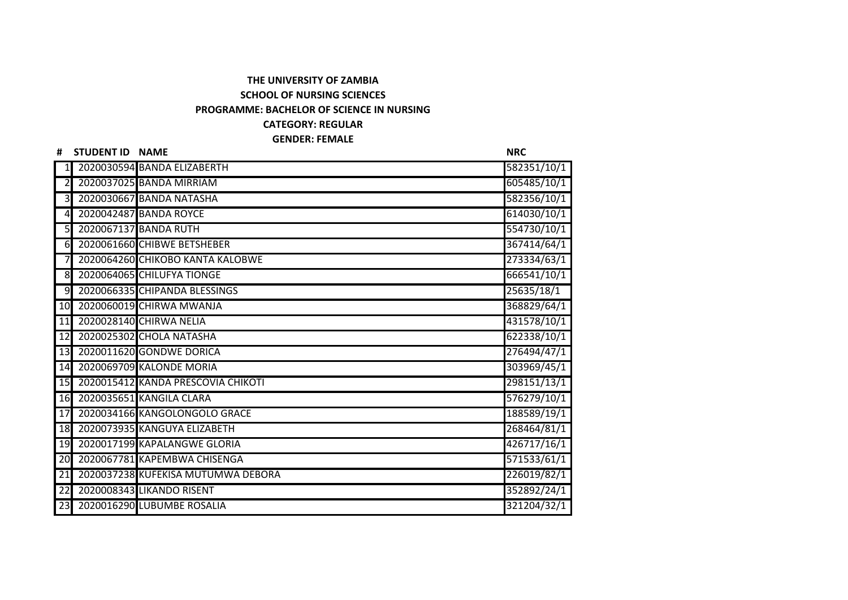## **THE UNIVERSITY OF ZAMBIA SCHOOL OF NURSING SCIENCES**

## **PROGRAMME: BACHELOR OF SCIENCE IN NURSING**

## **CATEGORY: REGULAR**

## **GENDER: FEMALE**

| #                       | STUDENT ID NAME |                                    | <b>NRC</b>  |
|-------------------------|-----------------|------------------------------------|-------------|
|                         |                 | 2020030594 BANDA ELIZABERTH        | 582351/10/1 |
| 21                      |                 | 2020037025 BANDA MIRRIAM           | 605485/10/1 |
| $\overline{\mathsf{3}}$ |                 | 2020030667 BANDA NATASHA           | 582356/10/1 |
| $\overline{4}$          |                 | 2020042487 BANDA ROYCE             | 614030/10/1 |
| $\overline{5}$          |                 | 2020067137 BANDA RUTH              | 554730/10/1 |
| $6\blacksquare$         |                 | 2020061660 CHIBWE BETSHEBER        | 367414/64/1 |
| 71                      |                 | 2020064260 CHIKOBO KANTA KALOBWE   | 273334/63/1 |
| 8                       |                 | 2020064065 CHILUFYA TIONGE         | 666541/10/1 |
| 9                       |                 | 2020066335 CHIPANDA BLESSINGS      | 25635/18/1  |
| 10                      |                 | 2020060019 CHIRWA MWANJA           | 368829/64/1 |
| 11                      |                 | 2020028140 CHIRWA NELIA            | 431578/10/1 |
| 12                      |                 | 2020025302 CHOLA NATASHA           | 622338/10/1 |
| 13                      |                 | 2020011620 GONDWE DORICA           | 276494/47/1 |
| 14                      |                 | 2020069709 KALONDE MORIA           | 303969/45/1 |
| 15                      |                 | 2020015412 KANDA PRESCOVIA CHIKOTI | 298151/13/1 |
|                         |                 | 16 2020035651 KANGILA CLARA        | 576279/10/1 |
| 17                      |                 | 2020034166 KANGOLONGOLO GRACE      | 188589/19/1 |
| 18                      |                 | 2020073935 KANGUYA ELIZABETH       | 268464/81/1 |
| 19                      |                 | 2020017199 KAPALANGWE GLORIA       | 426717/16/1 |
| 20                      |                 | 2020067781 KAPEMBWA CHISENGA       | 571533/61/1 |
| 21                      |                 | 2020037238 KUFEKISA MUTUMWA DEBORA | 226019/82/1 |
| $\overline{22}$         |                 | 2020008343 LIKANDO RISENT          | 352892/24/1 |
|                         |                 | 23 2020016290 LUBUMBE ROSALIA      | 321204/32/1 |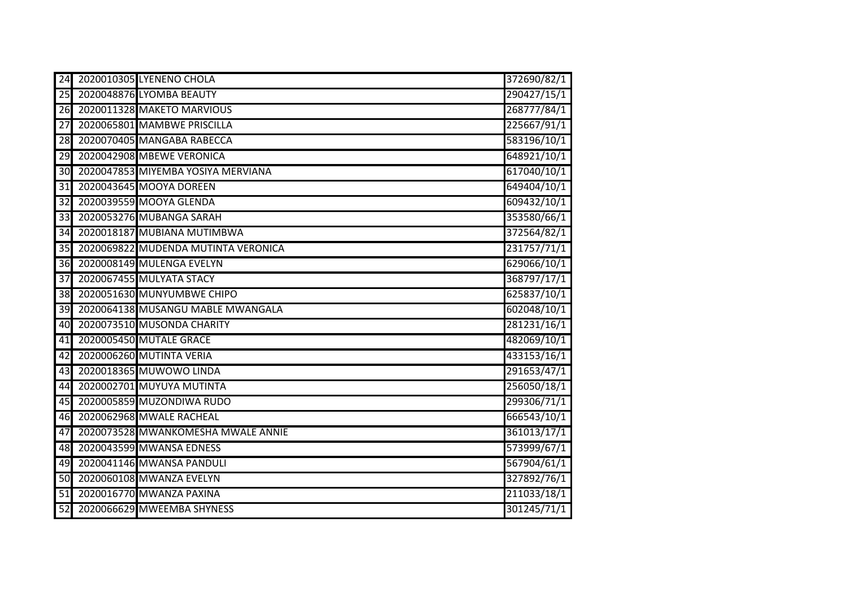| 24              | 2020010305 LYENENO CHOLA            | 372690/82/1 |
|-----------------|-------------------------------------|-------------|
|                 | 25 2020048876 LYOMBA BEAUTY         | 290427/15/1 |
| 26              | 2020011328 MAKETO MARVIOUS          | 268777/84/1 |
| 27              | 2020065801 MAMBWE PRISCILLA         | 225667/91/1 |
| 28              | 2020070405 MANGABA RABECCA          | 583196/10/1 |
| 29              | 2020042908 MBEWE VERONICA           | 648921/10/1 |
| 30              | 2020047853 MIYEMBA YOSIYA MERVIANA  | 617040/10/1 |
| 31              | 2020043645 MOOYA DOREEN             | 649404/10/1 |
| $\overline{32}$ | 2020039559 MOOYA GLENDA             | 609432/10/1 |
| 33              | 2020053276 MUBANGA SARAH            | 353580/66/1 |
| 34              | 2020018187 MUBIANA MUTIMBWA         | 372564/82/1 |
| 35              | 2020069822 MUDENDA MUTINTA VERONICA | 231757/71/1 |
| 36              | 2020008149 MULENGA EVELYN           | 629066/10/1 |
| 37              | 2020067455 MULYATA STACY            | 368797/17/1 |
| 38              | 2020051630 MUNYUMBWE CHIPO          | 625837/10/1 |
| 39              | 2020064138 MUSANGU MABLE MWANGALA   | 602048/10/1 |
| 40              | 2020073510 MUSONDA CHARITY          | 281231/16/1 |
| 41              | 2020005450 MUTALE GRACE             | 482069/10/1 |
| 42              | 2020006260 MUTINTA VERIA            | 433153/16/1 |
| 43              | 2020018365 MUWOWO LINDA             | 291653/47/1 |
| 44              | 2020002701 MUYUYA MUTINTA           | 256050/18/1 |
| 45              | 2020005859 MUZONDIWA RUDO           | 299306/71/1 |
| 46              | 2020062968 MWALE RACHEAL            | 666543/10/1 |
| $\overline{47}$ | 2020073528 MWANKOMESHA MWALE ANNIE  | 361013/17/1 |
| 48              | 2020043599 MWANSA EDNESS            | 573999/67/1 |
| 49              | 2020041146 MWANSA PANDULI           | 567904/61/1 |
| 50              | 2020060108 MWANZA EVELYN            | 327892/76/1 |
| $\overline{51}$ | 2020016770 MWANZA PAXINA            | 211033/18/1 |
| $\overline{52}$ | 2020066629 MWEEMBA SHYNESS          | 301245/71/1 |